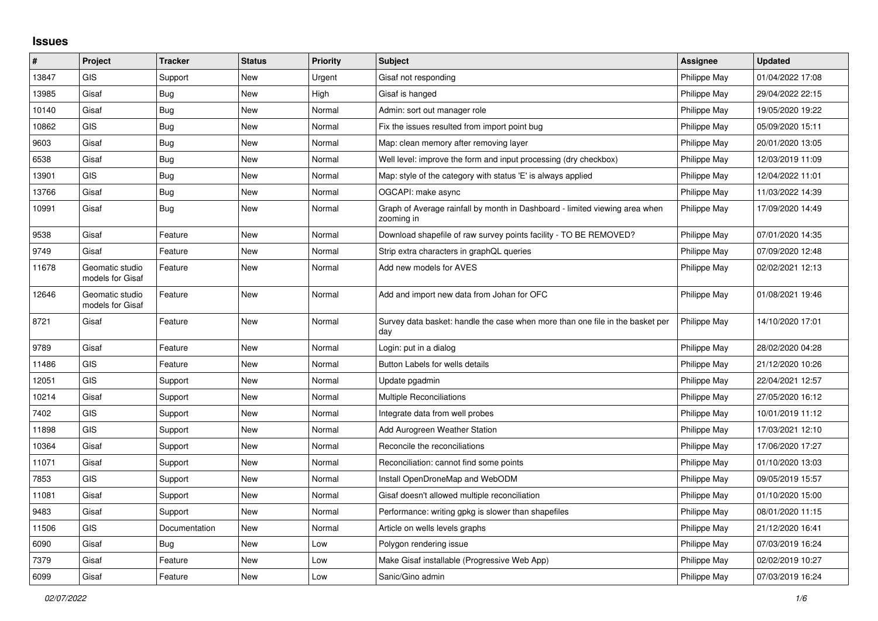## **Issues**

| #     | Project                             | <b>Tracker</b> | <b>Status</b> | <b>Priority</b> | <b>Subject</b>                                                                            | <b>Assignee</b> | <b>Updated</b>   |
|-------|-------------------------------------|----------------|---------------|-----------------|-------------------------------------------------------------------------------------------|-----------------|------------------|
| 13847 | <b>GIS</b>                          | Support        | <b>New</b>    | Urgent          | Gisaf not responding                                                                      | Philippe May    | 01/04/2022 17:08 |
| 13985 | Gisaf                               | Bug            | New           | High            | Gisaf is hanged                                                                           | Philippe May    | 29/04/2022 22:15 |
| 10140 | Gisaf                               | <b>Bug</b>     | New           | Normal          | Admin: sort out manager role                                                              | Philippe May    | 19/05/2020 19:22 |
| 10862 | GIS                                 | <b>Bug</b>     | <b>New</b>    | Normal          | Fix the issues resulted from import point bug                                             | Philippe May    | 05/09/2020 15:11 |
| 9603  | Gisaf                               | Bug            | New           | Normal          | Map: clean memory after removing layer                                                    | Philippe May    | 20/01/2020 13:05 |
| 6538  | Gisaf                               | Bug            | <b>New</b>    | Normal          | Well level: improve the form and input processing (dry checkbox)                          | Philippe May    | 12/03/2019 11:09 |
| 13901 | <b>GIS</b>                          | Bug            | <b>New</b>    | Normal          | Map: style of the category with status 'E' is always applied                              | Philippe May    | 12/04/2022 11:01 |
| 13766 | Gisaf                               | <b>Bug</b>     | New           | Normal          | OGCAPI: make async                                                                        | Philippe May    | 11/03/2022 14:39 |
| 10991 | Gisaf                               | <b>Bug</b>     | <b>New</b>    | Normal          | Graph of Average rainfall by month in Dashboard - limited viewing area when<br>zooming in | Philippe May    | 17/09/2020 14:49 |
| 9538  | Gisaf                               | Feature        | <b>New</b>    | Normal          | Download shapefile of raw survey points facility - TO BE REMOVED?                         | Philippe May    | 07/01/2020 14:35 |
| 9749  | Gisaf                               | Feature        | <b>New</b>    | Normal          | Strip extra characters in graphQL queries                                                 | Philippe May    | 07/09/2020 12:48 |
| 11678 | Geomatic studio<br>models for Gisaf | Feature        | <b>New</b>    | Normal          | Add new models for AVES                                                                   | Philippe May    | 02/02/2021 12:13 |
| 12646 | Geomatic studio<br>models for Gisaf | Feature        | New           | Normal          | Add and import new data from Johan for OFC                                                | Philippe May    | 01/08/2021 19:46 |
| 8721  | Gisaf                               | Feature        | <b>New</b>    | Normal          | Survey data basket: handle the case when more than one file in the basket per<br>day      | Philippe May    | 14/10/2020 17:01 |
| 9789  | Gisaf                               | Feature        | <b>New</b>    | Normal          | Login: put in a dialog                                                                    | Philippe May    | 28/02/2020 04:28 |
| 11486 | <b>GIS</b>                          | Feature        | <b>New</b>    | Normal          | Button Labels for wells details                                                           | Philippe May    | 21/12/2020 10:26 |
| 12051 | GIS                                 | Support        | <b>New</b>    | Normal          | Update pgadmin                                                                            | Philippe May    | 22/04/2021 12:57 |
| 10214 | Gisaf                               | Support        | New           | Normal          | Multiple Reconciliations                                                                  | Philippe May    | 27/05/2020 16:12 |
| 7402  | <b>GIS</b>                          | Support        | <b>New</b>    | Normal          | Integrate data from well probes                                                           | Philippe May    | 10/01/2019 11:12 |
| 11898 | GIS                                 | Support        | <b>New</b>    | Normal          | Add Aurogreen Weather Station                                                             | Philippe May    | 17/03/2021 12:10 |
| 10364 | Gisaf                               | Support        | New           | Normal          | Reconcile the reconciliations                                                             | Philippe May    | 17/06/2020 17:27 |
| 11071 | Gisaf                               | Support        | <b>New</b>    | Normal          | Reconciliation: cannot find some points                                                   | Philippe May    | 01/10/2020 13:03 |
| 7853  | <b>GIS</b>                          | Support        | <b>New</b>    | Normal          | Install OpenDroneMap and WebODM                                                           | Philippe May    | 09/05/2019 15:57 |
| 11081 | Gisaf                               | Support        | New           | Normal          | Gisaf doesn't allowed multiple reconciliation                                             | Philippe May    | 01/10/2020 15:00 |
| 9483  | Gisaf                               | Support        | <b>New</b>    | Normal          | Performance: writing gpkg is slower than shapefiles                                       | Philippe May    | 08/01/2020 11:15 |
| 11506 | <b>GIS</b>                          | Documentation  | New           | Normal          | Article on wells levels graphs                                                            | Philippe May    | 21/12/2020 16:41 |
| 6090  | Gisaf                               | Bug            | <b>New</b>    | Low             | Polygon rendering issue                                                                   | Philippe May    | 07/03/2019 16:24 |
| 7379  | Gisaf                               | Feature        | <b>New</b>    | Low             | Make Gisaf installable (Progressive Web App)                                              | Philippe May    | 02/02/2019 10:27 |
| 6099  | Gisaf                               | Feature        | New           | Low             | Sanic/Gino admin                                                                          | Philippe May    | 07/03/2019 16:24 |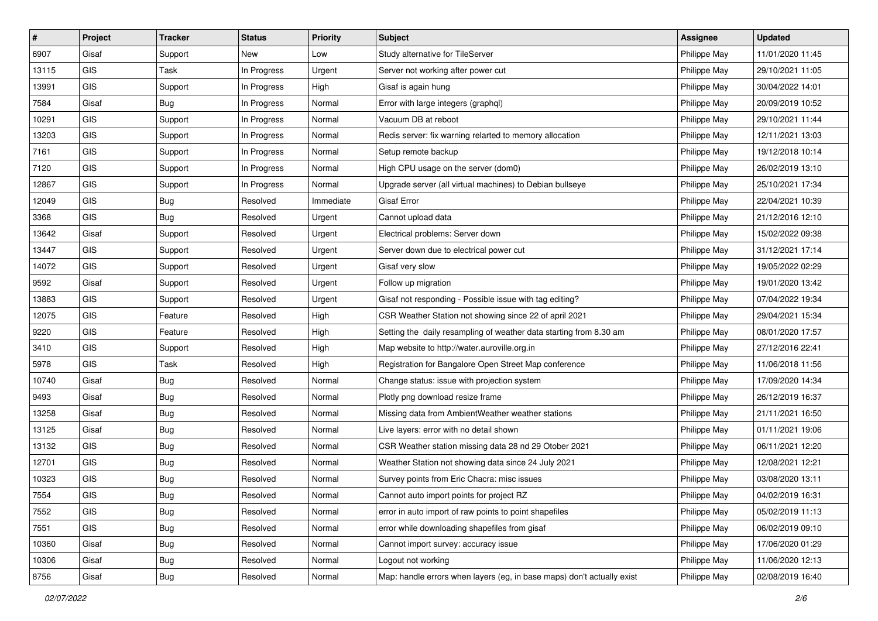| $\vert$ # | Project    | <b>Tracker</b> | <b>Status</b> | <b>Priority</b> | <b>Subject</b>                                                         | <b>Assignee</b> | <b>Updated</b>   |
|-----------|------------|----------------|---------------|-----------------|------------------------------------------------------------------------|-----------------|------------------|
| 6907      | Gisaf      | Support        | New           | Low             | Study alternative for TileServer                                       | Philippe May    | 11/01/2020 11:45 |
| 13115     | GIS        | Task           | In Progress   | Urgent          | Server not working after power cut                                     | Philippe May    | 29/10/2021 11:05 |
| 13991     | GIS        | Support        | In Progress   | High            | Gisaf is again hung                                                    | Philippe May    | 30/04/2022 14:01 |
| 7584      | Gisaf      | Bug            | In Progress   | Normal          | Error with large integers (graphql)                                    | Philippe May    | 20/09/2019 10:52 |
| 10291     | GIS        | Support        | In Progress   | Normal          | Vacuum DB at reboot                                                    | Philippe May    | 29/10/2021 11:44 |
| 13203     | <b>GIS</b> | Support        | In Progress   | Normal          | Redis server: fix warning relarted to memory allocation                | Philippe May    | 12/11/2021 13:03 |
| 7161      | GIS        | Support        | In Progress   | Normal          | Setup remote backup                                                    | Philippe May    | 19/12/2018 10:14 |
| 7120      | GIS        | Support        | In Progress   | Normal          | High CPU usage on the server (dom0)                                    | Philippe May    | 26/02/2019 13:10 |
| 12867     | GIS        | Support        | In Progress   | Normal          | Upgrade server (all virtual machines) to Debian bullseye               | Philippe May    | 25/10/2021 17:34 |
| 12049     | GIS        | <b>Bug</b>     | Resolved      | Immediate       | <b>Gisaf Error</b>                                                     | Philippe May    | 22/04/2021 10:39 |
| 3368      | GIS        | Bug            | Resolved      | Urgent          | Cannot upload data                                                     | Philippe May    | 21/12/2016 12:10 |
| 13642     | Gisaf      | Support        | Resolved      | Urgent          | Electrical problems: Server down                                       | Philippe May    | 15/02/2022 09:38 |
| 13447     | GIS        | Support        | Resolved      | Urgent          | Server down due to electrical power cut                                | Philippe May    | 31/12/2021 17:14 |
| 14072     | GIS        | Support        | Resolved      | Urgent          | Gisaf very slow                                                        | Philippe May    | 19/05/2022 02:29 |
| 9592      | Gisaf      | Support        | Resolved      | Urgent          | Follow up migration                                                    | Philippe May    | 19/01/2020 13:42 |
| 13883     | GIS        | Support        | Resolved      | Urgent          | Gisaf not responding - Possible issue with tag editing?                | Philippe May    | 07/04/2022 19:34 |
| 12075     | GIS        | Feature        | Resolved      | High            | CSR Weather Station not showing since 22 of april 2021                 | Philippe May    | 29/04/2021 15:34 |
| 9220      | <b>GIS</b> | Feature        | Resolved      | High            | Setting the daily resampling of weather data starting from 8.30 am     | Philippe May    | 08/01/2020 17:57 |
| 3410      | GIS        | Support        | Resolved      | High            | Map website to http://water.auroville.org.in                           | Philippe May    | 27/12/2016 22:41 |
| 5978      | GIS        | Task           | Resolved      | High            | Registration for Bangalore Open Street Map conference                  | Philippe May    | 11/06/2018 11:56 |
| 10740     | Gisaf      | <b>Bug</b>     | Resolved      | Normal          | Change status: issue with projection system                            | Philippe May    | 17/09/2020 14:34 |
| 9493      | Gisaf      | Bug            | Resolved      | Normal          | Plotly png download resize frame                                       | Philippe May    | 26/12/2019 16:37 |
| 13258     | Gisaf      | Bug            | Resolved      | Normal          | Missing data from AmbientWeather weather stations                      | Philippe May    | 21/11/2021 16:50 |
| 13125     | Gisaf      | <b>Bug</b>     | Resolved      | Normal          | Live layers: error with no detail shown                                | Philippe May    | 01/11/2021 19:06 |
| 13132     | GIS        | <b>Bug</b>     | Resolved      | Normal          | CSR Weather station missing data 28 nd 29 Otober 2021                  | Philippe May    | 06/11/2021 12:20 |
| 12701     | GIS        | Bug            | Resolved      | Normal          | Weather Station not showing data since 24 July 2021                    | Philippe May    | 12/08/2021 12:21 |
| 10323     | GIS        | <b>Bug</b>     | Resolved      | Normal          | Survey points from Eric Chacra: misc issues                            | Philippe May    | 03/08/2020 13:11 |
| 7554      | GIS        | Bug            | Resolved      | Normal          | Cannot auto import points for project RZ                               | Philippe May    | 04/02/2019 16:31 |
| 7552      | <b>GIS</b> | Bug            | Resolved      | Normal          | error in auto import of raw points to point shapefiles                 | Philippe May    | 05/02/2019 11:13 |
| 7551      | GIS        | Bug            | Resolved      | Normal          | error while downloading shapefiles from gisaf                          | Philippe May    | 06/02/2019 09:10 |
| 10360     | Gisaf      | <b>Bug</b>     | Resolved      | Normal          | Cannot import survey: accuracy issue                                   | Philippe May    | 17/06/2020 01:29 |
| 10306     | Gisaf      | <b>Bug</b>     | Resolved      | Normal          | Logout not working                                                     | Philippe May    | 11/06/2020 12:13 |
| 8756      | Gisaf      | Bug            | Resolved      | Normal          | Map: handle errors when layers (eg, in base maps) don't actually exist | Philippe May    | 02/08/2019 16:40 |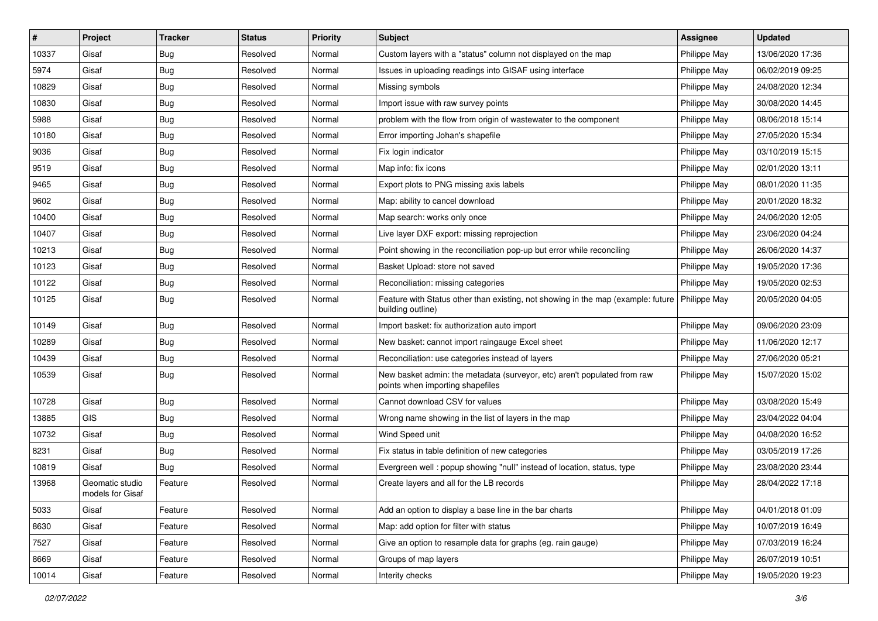| #     | Project                             | <b>Tracker</b> | <b>Status</b> | Priority | <b>Subject</b>                                                                                               | <b>Assignee</b> | <b>Updated</b>   |
|-------|-------------------------------------|----------------|---------------|----------|--------------------------------------------------------------------------------------------------------------|-----------------|------------------|
| 10337 | Gisaf                               | <b>Bug</b>     | Resolved      | Normal   | Custom layers with a "status" column not displayed on the map                                                | Philippe May    | 13/06/2020 17:36 |
| 5974  | Gisaf                               | Bug            | Resolved      | Normal   | Issues in uploading readings into GISAF using interface                                                      | Philippe May    | 06/02/2019 09:25 |
| 10829 | Gisaf                               | Bug            | Resolved      | Normal   | Missing symbols                                                                                              | Philippe May    | 24/08/2020 12:34 |
| 10830 | Gisaf                               | <b>Bug</b>     | Resolved      | Normal   | Import issue with raw survey points                                                                          | Philippe May    | 30/08/2020 14:45 |
| 5988  | Gisaf                               | Bug            | Resolved      | Normal   | problem with the flow from origin of wastewater to the component                                             | Philippe May    | 08/06/2018 15:14 |
| 10180 | Gisaf                               | <b>Bug</b>     | Resolved      | Normal   | Error importing Johan's shapefile                                                                            | Philippe May    | 27/05/2020 15:34 |
| 9036  | Gisaf                               | <b>Bug</b>     | Resolved      | Normal   | Fix login indicator                                                                                          | Philippe May    | 03/10/2019 15:15 |
| 9519  | Gisaf                               | Bug            | Resolved      | Normal   | Map info: fix icons                                                                                          | Philippe May    | 02/01/2020 13:11 |
| 9465  | Gisaf                               | <b>Bug</b>     | Resolved      | Normal   | Export plots to PNG missing axis labels                                                                      | Philippe May    | 08/01/2020 11:35 |
| 9602  | Gisaf                               | <b>Bug</b>     | Resolved      | Normal   | Map: ability to cancel download                                                                              | Philippe May    | 20/01/2020 18:32 |
| 10400 | Gisaf                               | Bug            | Resolved      | Normal   | Map search: works only once                                                                                  | Philippe May    | 24/06/2020 12:05 |
| 10407 | Gisaf                               | <b>Bug</b>     | Resolved      | Normal   | Live layer DXF export: missing reprojection                                                                  | Philippe May    | 23/06/2020 04:24 |
| 10213 | Gisaf                               | <b>Bug</b>     | Resolved      | Normal   | Point showing in the reconciliation pop-up but error while reconciling                                       | Philippe May    | 26/06/2020 14:37 |
| 10123 | Gisaf                               | <b>Bug</b>     | Resolved      | Normal   | Basket Upload: store not saved                                                                               | Philippe May    | 19/05/2020 17:36 |
| 10122 | Gisaf                               | <b>Bug</b>     | Resolved      | Normal   | Reconciliation: missing categories                                                                           | Philippe May    | 19/05/2020 02:53 |
| 10125 | Gisaf                               | <b>Bug</b>     | Resolved      | Normal   | Feature with Status other than existing, not showing in the map (example: future<br>building outline)        | Philippe May    | 20/05/2020 04:05 |
| 10149 | Gisaf                               | Bug            | Resolved      | Normal   | Import basket: fix authorization auto import                                                                 | Philippe May    | 09/06/2020 23:09 |
| 10289 | Gisaf                               | <b>Bug</b>     | Resolved      | Normal   | New basket: cannot import raingauge Excel sheet                                                              | Philippe May    | 11/06/2020 12:17 |
| 10439 | Gisaf                               | <b>Bug</b>     | Resolved      | Normal   | Reconciliation: use categories instead of layers                                                             | Philippe May    | 27/06/2020 05:21 |
| 10539 | Gisaf                               | Bug            | Resolved      | Normal   | New basket admin: the metadata (surveyor, etc) aren't populated from raw<br>points when importing shapefiles | Philippe May    | 15/07/2020 15:02 |
| 10728 | Gisaf                               | <b>Bug</b>     | Resolved      | Normal   | Cannot download CSV for values                                                                               | Philippe May    | 03/08/2020 15:49 |
| 13885 | <b>GIS</b>                          | Bug            | Resolved      | Normal   | Wrong name showing in the list of layers in the map                                                          | Philippe May    | 23/04/2022 04:04 |
| 10732 | Gisaf                               | <b>Bug</b>     | Resolved      | Normal   | Wind Speed unit                                                                                              | Philippe May    | 04/08/2020 16:52 |
| 8231  | Gisaf                               | Bug            | Resolved      | Normal   | Fix status in table definition of new categories                                                             | Philippe May    | 03/05/2019 17:26 |
| 10819 | Gisaf                               | Bug            | Resolved      | Normal   | Evergreen well: popup showing "null" instead of location, status, type                                       | Philippe May    | 23/08/2020 23:44 |
| 13968 | Geomatic studio<br>models for Gisaf | Feature        | Resolved      | Normal   | Create layers and all for the LB records                                                                     | Philippe May    | 28/04/2022 17:18 |
| 5033  | Gisaf                               | Feature        | Resolved      | Normal   | Add an option to display a base line in the bar charts                                                       | Philippe May    | 04/01/2018 01:09 |
| 8630  | Gisaf                               | Feature        | Resolved      | Normal   | Map: add option for filter with status                                                                       | Philippe May    | 10/07/2019 16:49 |
| 7527  | Gisaf                               | Feature        | Resolved      | Normal   | Give an option to resample data for graphs (eg. rain gauge)                                                  | Philippe May    | 07/03/2019 16:24 |
| 8669  | Gisaf                               | Feature        | Resolved      | Normal   | Groups of map layers                                                                                         | Philippe May    | 26/07/2019 10:51 |
| 10014 | Gisaf                               | Feature        | Resolved      | Normal   | Interity checks                                                                                              | Philippe May    | 19/05/2020 19:23 |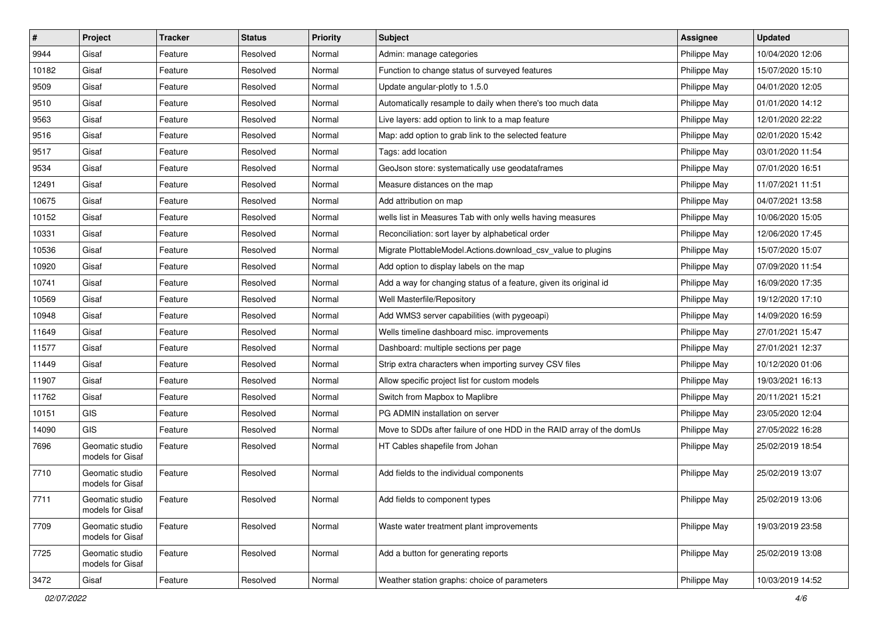| $\#$  | Project                             | <b>Tracker</b> | <b>Status</b> | <b>Priority</b> | Subject                                                              | <b>Assignee</b> | <b>Updated</b>   |
|-------|-------------------------------------|----------------|---------------|-----------------|----------------------------------------------------------------------|-----------------|------------------|
| 9944  | Gisaf                               | Feature        | Resolved      | Normal          | Admin: manage categories                                             | Philippe May    | 10/04/2020 12:06 |
| 10182 | Gisaf                               | Feature        | Resolved      | Normal          | Function to change status of surveyed features                       | Philippe May    | 15/07/2020 15:10 |
| 9509  | Gisaf                               | Feature        | Resolved      | Normal          | Update angular-plotly to 1.5.0                                       | Philippe May    | 04/01/2020 12:05 |
| 9510  | Gisaf                               | Feature        | Resolved      | Normal          | Automatically resample to daily when there's too much data           | Philippe May    | 01/01/2020 14:12 |
| 9563  | Gisaf                               | Feature        | Resolved      | Normal          | Live layers: add option to link to a map feature                     | Philippe May    | 12/01/2020 22:22 |
| 9516  | Gisaf                               | Feature        | Resolved      | Normal          | Map: add option to grab link to the selected feature                 | Philippe May    | 02/01/2020 15:42 |
| 9517  | Gisaf                               | Feature        | Resolved      | Normal          | Tags: add location                                                   | Philippe May    | 03/01/2020 11:54 |
| 9534  | Gisaf                               | Feature        | Resolved      | Normal          | GeoJson store: systematically use geodataframes                      | Philippe May    | 07/01/2020 16:51 |
| 12491 | Gisaf                               | Feature        | Resolved      | Normal          | Measure distances on the map                                         | Philippe May    | 11/07/2021 11:51 |
| 10675 | Gisaf                               | Feature        | Resolved      | Normal          | Add attribution on map                                               | Philippe May    | 04/07/2021 13:58 |
| 10152 | Gisaf                               | Feature        | Resolved      | Normal          | wells list in Measures Tab with only wells having measures           | Philippe May    | 10/06/2020 15:05 |
| 10331 | Gisaf                               | Feature        | Resolved      | Normal          | Reconciliation: sort layer by alphabetical order                     | Philippe May    | 12/06/2020 17:45 |
| 10536 | Gisaf                               | Feature        | Resolved      | Normal          | Migrate PlottableModel.Actions.download_csv_value to plugins         | Philippe May    | 15/07/2020 15:07 |
| 10920 | Gisaf                               | Feature        | Resolved      | Normal          | Add option to display labels on the map                              | Philippe May    | 07/09/2020 11:54 |
| 10741 | Gisaf                               | Feature        | Resolved      | Normal          | Add a way for changing status of a feature, given its original id    | Philippe May    | 16/09/2020 17:35 |
| 10569 | Gisaf                               | Feature        | Resolved      | Normal          | Well Masterfile/Repository                                           | Philippe May    | 19/12/2020 17:10 |
| 10948 | Gisaf                               | Feature        | Resolved      | Normal          | Add WMS3 server capabilities (with pygeoapi)                         | Philippe May    | 14/09/2020 16:59 |
| 11649 | Gisaf                               | Feature        | Resolved      | Normal          | Wells timeline dashboard misc. improvements                          | Philippe May    | 27/01/2021 15:47 |
| 11577 | Gisaf                               | Feature        | Resolved      | Normal          | Dashboard: multiple sections per page                                | Philippe May    | 27/01/2021 12:37 |
| 11449 | Gisaf                               | Feature        | Resolved      | Normal          | Strip extra characters when importing survey CSV files               | Philippe May    | 10/12/2020 01:06 |
| 11907 | Gisaf                               | Feature        | Resolved      | Normal          | Allow specific project list for custom models                        | Philippe May    | 19/03/2021 16:13 |
| 11762 | Gisaf                               | Feature        | Resolved      | Normal          | Switch from Mapbox to Maplibre                                       | Philippe May    | 20/11/2021 15:21 |
| 10151 | GIS                                 | Feature        | Resolved      | Normal          | PG ADMIN installation on server                                      | Philippe May    | 23/05/2020 12:04 |
| 14090 | GIS                                 | Feature        | Resolved      | Normal          | Move to SDDs after failure of one HDD in the RAID array of the domUs | Philippe May    | 27/05/2022 16:28 |
| 7696  | Geomatic studio<br>models for Gisaf | Feature        | Resolved      | Normal          | HT Cables shapefile from Johan                                       | Philippe May    | 25/02/2019 18:54 |
| 7710  | Geomatic studio<br>models for Gisaf | Feature        | Resolved      | Normal          | Add fields to the individual components                              | Philippe May    | 25/02/2019 13:07 |
| 7711  | Geomatic studio<br>models for Gisaf | Feature        | Resolved      | Normal          | Add fields to component types                                        | Philippe May    | 25/02/2019 13:06 |
| 7709  | Geomatic studio<br>models for Gisaf | Feature        | Resolved      | Normal          | Waste water treatment plant improvements                             | Philippe May    | 19/03/2019 23:58 |
| 7725  | Geomatic studio<br>models for Gisaf | Feature        | Resolved      | Normal          | Add a button for generating reports                                  | Philippe May    | 25/02/2019 13:08 |
| 3472  | Gisaf                               | Feature        | Resolved      | Normal          | Weather station graphs: choice of parameters                         | Philippe May    | 10/03/2019 14:52 |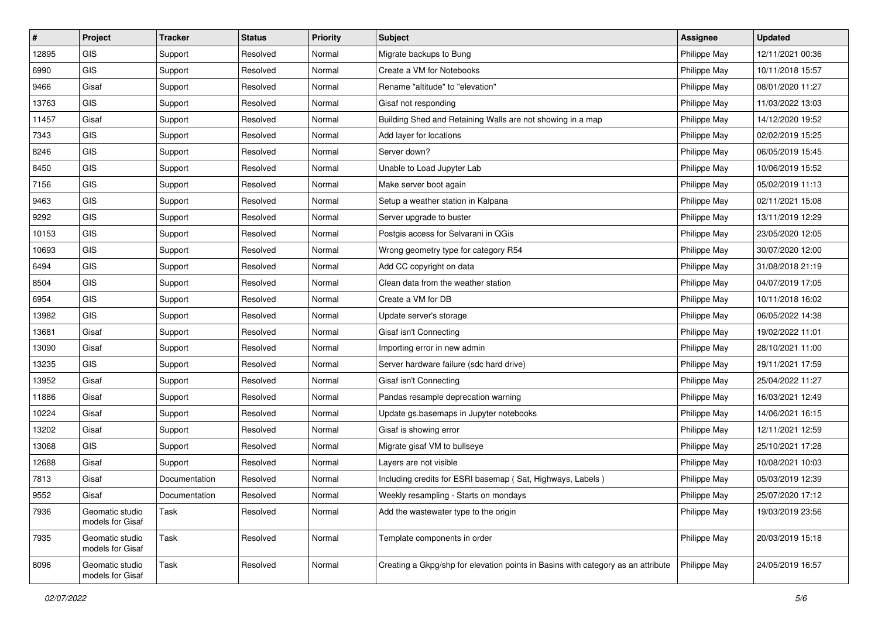| $\vert$ # | Project                             | <b>Tracker</b> | <b>Status</b> | <b>Priority</b> | <b>Subject</b>                                                                   | <b>Assignee</b> | <b>Updated</b>   |
|-----------|-------------------------------------|----------------|---------------|-----------------|----------------------------------------------------------------------------------|-----------------|------------------|
| 12895     | <b>GIS</b>                          | Support        | Resolved      | Normal          | Migrate backups to Bung                                                          | Philippe May    | 12/11/2021 00:36 |
| 6990      | <b>GIS</b>                          | Support        | Resolved      | Normal          | Create a VM for Notebooks                                                        | Philippe May    | 10/11/2018 15:57 |
| 9466      | Gisaf                               | Support        | Resolved      | Normal          | Rename "altitude" to "elevation"                                                 | Philippe May    | 08/01/2020 11:27 |
| 13763     | GIS                                 | Support        | Resolved      | Normal          | Gisaf not responding                                                             | Philippe May    | 11/03/2022 13:03 |
| 11457     | Gisaf                               | Support        | Resolved      | Normal          | Building Shed and Retaining Walls are not showing in a map                       | Philippe May    | 14/12/2020 19:52 |
| 7343      | <b>GIS</b>                          | Support        | Resolved      | Normal          | Add layer for locations                                                          | Philippe May    | 02/02/2019 15:25 |
| 8246      | <b>GIS</b>                          | Support        | Resolved      | Normal          | Server down?                                                                     | Philippe May    | 06/05/2019 15:45 |
| 8450      | GIS                                 | Support        | Resolved      | Normal          | Unable to Load Jupyter Lab                                                       | Philippe May    | 10/06/2019 15:52 |
| 7156      | GIS                                 | Support        | Resolved      | Normal          | Make server boot again                                                           | Philippe May    | 05/02/2019 11:13 |
| 9463      | <b>GIS</b>                          | Support        | Resolved      | Normal          | Setup a weather station in Kalpana                                               | Philippe May    | 02/11/2021 15:08 |
| 9292      | GIS                                 | Support        | Resolved      | Normal          | Server upgrade to buster                                                         | Philippe May    | 13/11/2019 12:29 |
| 10153     | GIS                                 | Support        | Resolved      | Normal          | Postgis access for Selvarani in QGis                                             | Philippe May    | 23/05/2020 12:05 |
| 10693     | GIS                                 | Support        | Resolved      | Normal          | Wrong geometry type for category R54                                             | Philippe May    | 30/07/2020 12:00 |
| 6494      | GIS                                 | Support        | Resolved      | Normal          | Add CC copyright on data                                                         | Philippe May    | 31/08/2018 21:19 |
| 8504      | GIS                                 | Support        | Resolved      | Normal          | Clean data from the weather station                                              | Philippe May    | 04/07/2019 17:05 |
| 6954      | <b>GIS</b>                          | Support        | Resolved      | Normal          | Create a VM for DB                                                               | Philippe May    | 10/11/2018 16:02 |
| 13982     | GIS                                 | Support        | Resolved      | Normal          | Update server's storage                                                          | Philippe May    | 06/05/2022 14:38 |
| 13681     | Gisaf                               | Support        | Resolved      | Normal          | Gisaf isn't Connecting                                                           | Philippe May    | 19/02/2022 11:01 |
| 13090     | Gisaf                               | Support        | Resolved      | Normal          | Importing error in new admin                                                     | Philippe May    | 28/10/2021 11:00 |
| 13235     | <b>GIS</b>                          | Support        | Resolved      | Normal          | Server hardware failure (sdc hard drive)                                         | Philippe May    | 19/11/2021 17:59 |
| 13952     | Gisaf                               | Support        | Resolved      | Normal          | Gisaf isn't Connecting                                                           | Philippe May    | 25/04/2022 11:27 |
| 11886     | Gisaf                               | Support        | Resolved      | Normal          | Pandas resample deprecation warning                                              | Philippe May    | 16/03/2021 12:49 |
| 10224     | Gisaf                               | Support        | Resolved      | Normal          | Update gs.basemaps in Jupyter notebooks                                          | Philippe May    | 14/06/2021 16:15 |
| 13202     | Gisaf                               | Support        | Resolved      | Normal          | Gisaf is showing error                                                           | Philippe May    | 12/11/2021 12:59 |
| 13068     | <b>GIS</b>                          | Support        | Resolved      | Normal          | Migrate gisaf VM to bullseye                                                     | Philippe May    | 25/10/2021 17:28 |
| 12688     | Gisaf                               | Support        | Resolved      | Normal          | Layers are not visible                                                           | Philippe May    | 10/08/2021 10:03 |
| 7813      | Gisaf                               | Documentation  | Resolved      | Normal          | Including credits for ESRI basemap (Sat, Highways, Labels)                       | Philippe May    | 05/03/2019 12:39 |
| 9552      | Gisaf                               | Documentation  | Resolved      | Normal          | Weekly resampling - Starts on mondays                                            | Philippe May    | 25/07/2020 17:12 |
| 7936      | Geomatic studio<br>models for Gisaf | Task           | Resolved      | Normal          | Add the wastewater type to the origin                                            | Philippe May    | 19/03/2019 23:56 |
| 7935      | Geomatic studio<br>models for Gisaf | Task           | Resolved      | Normal          | Template components in order                                                     | Philippe May    | 20/03/2019 15:18 |
| 8096      | Geomatic studio<br>models for Gisaf | Task           | Resolved      | Normal          | Creating a Gkpg/shp for elevation points in Basins with category as an attribute | Philippe May    | 24/05/2019 16:57 |